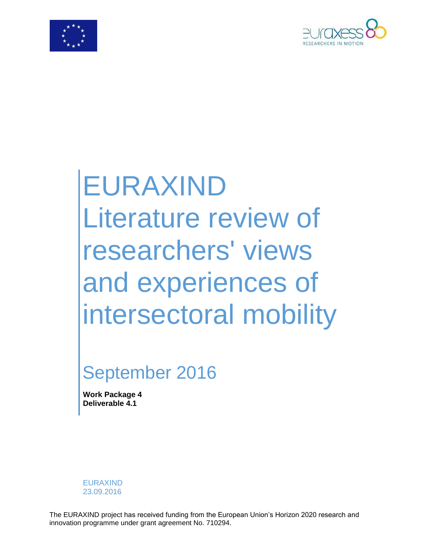



# EURAXIND Literature review of researchers' views and experiences of intersectoral mobility

# September 2016

**Work Package 4 Deliverable 4.1**

EURAXIND 23.09.2016

The EURAXIND project has received funding from the European Union's Horizon 2020 research and innovation programme under grant agreement No. 710294.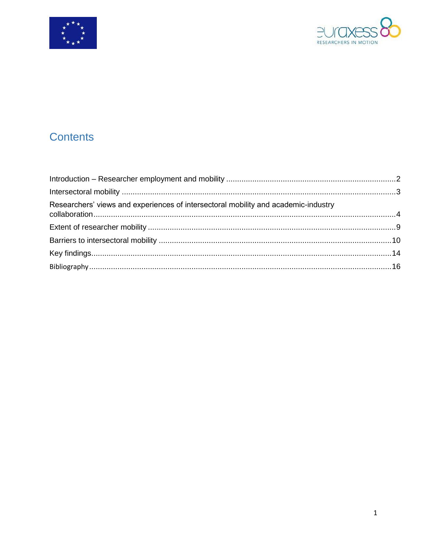



# **Contents**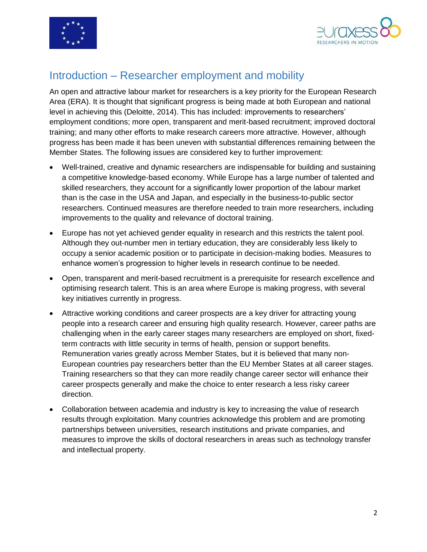



#### <span id="page-2-0"></span>Introduction – Researcher employment and mobility

An open and attractive labour market for researchers is a key priority for the European Research Area (ERA). It is thought that significant progress is being made at both European and national level in achieving this (Deloitte, 2014). This has included: improvements to researchers' employment conditions; more open, transparent and merit-based recruitment; improved doctoral training; and many other efforts to make research careers more attractive. However, although progress has been made it has been uneven with substantial differences remaining between the Member States. The following issues are considered key to further improvement:

- Well-trained, creative and dynamic researchers are indispensable for building and sustaining a competitive knowledge-based economy. While Europe has a large number of talented and skilled researchers, they account for a significantly lower proportion of the labour market than is the case in the USA and Japan, and especially in the business-to-public sector researchers. Continued measures are therefore needed to train more researchers, including improvements to the quality and relevance of doctoral training.
- Europe has not yet achieved gender equality in research and this restricts the talent pool. Although they out-number men in tertiary education, they are considerably less likely to occupy a senior academic position or to participate in decision-making bodies. Measures to enhance women's progression to higher levels in research continue to be needed.
- Open, transparent and merit-based recruitment is a prerequisite for research excellence and optimising research talent. This is an area where Europe is making progress, with several key initiatives currently in progress.
- Attractive working conditions and career prospects are a key driver for attracting young people into a research career and ensuring high quality research. However, career paths are challenging when in the early career stages many researchers are employed on short, fixedterm contracts with little security in terms of health, pension or support benefits. Remuneration varies greatly across Member States, but it is believed that many non-European countries pay researchers better than the EU Member States at all career stages. Training researchers so that they can more readily change career sector will enhance their career prospects generally and make the choice to enter research a less risky career direction.
- <span id="page-2-1"></span> Collaboration between academia and industry is key to increasing the value of research results through exploitation. Many countries acknowledge this problem and are promoting partnerships between universities, research institutions and private companies, and measures to improve the skills of doctoral researchers in areas such as technology transfer and intellectual property.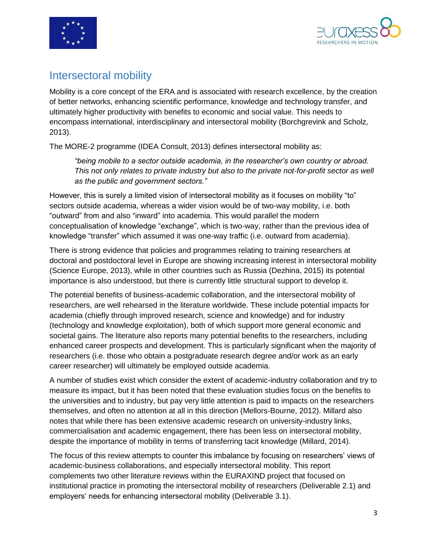



#### Intersectoral mobility

Mobility is a core concept of the ERA and is associated with research excellence, by the creation of better networks, enhancing scientific performance, knowledge and technology transfer, and ultimately higher productivity with benefits to economic and social value. This needs to encompass international, interdisciplinary and intersectoral mobility (Borchgrevink and Scholz, 2013).

The MORE-2 programme (IDEA Consult, 2013) defines intersectoral mobility as:

*"being mobile to a sector outside academia, in the researcher's own country or abroad. This not only relates to private industry but also to the private not-for-profit sector as well as the public and government sectors."*

However, this is surely a limited vision of intersectoral mobility as it focuses on mobility "to" sectors outside academia, whereas a wider vision would be of two-way mobility, i.e. both "outward" from and also "inward" into academia. This would parallel the modern conceptualisation of knowledge "exchange", which is two-way, rather than the previous idea of knowledge "transfer" which assumed it was one-way traffic (i.e. outward from academia).

There is strong evidence that policies and programmes relating to training researchers at doctoral and postdoctoral level in Europe are showing increasing interest in intersectoral mobility (Science Europe, 2013), while in other countries such as Russia (Dezhina, 2015) its potential importance is also understood, but there is currently little structural support to develop it.

The potential benefits of business-academic collaboration, and the intersectoral mobility of researchers, are well rehearsed in the literature worldwide. These include potential impacts for academia (chiefly through improved research, science and knowledge) and for industry (technology and knowledge exploitation), both of which support more general economic and societal gains. The literature also reports many potential benefits to the researchers, including enhanced career prospects and development. This is particularly significant when the majority of researchers (i.e. those who obtain a postgraduate research degree and/or work as an early career researcher) will ultimately be employed outside academia.

A number of studies exist which consider the extent of academic-industry collaboration and try to measure its impact, but it has been noted that these evaluation studies focus on the benefits to the universities and to industry, but pay very little attention is paid to impacts on the researchers themselves, and often no attention at all in this direction (Mellors-Bourne, 2012). Millard also notes that while there has been extensive academic research on university-industry links, commercialisation and academic engagement, there has been less on intersectoral mobility, despite the importance of mobility in terms of transferring tacit knowledge (Millard, 2014).

The focus of this review attempts to counter this imbalance by focusing on researchers' views of academic-business collaborations, and especially intersectoral mobility. This report complements two other literature reviews within the EURAXIND project that focused on institutional practice in promoting the intersectoral mobility of researchers (Deliverable 2.1) and employers' needs for enhancing intersectoral mobility (Deliverable 3.1).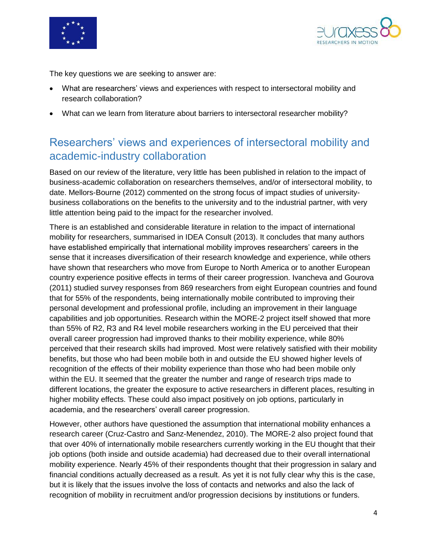



The key questions we are seeking to answer are:

- What are researchers' views and experiences with respect to intersectoral mobility and research collaboration?
- What can we learn from literature about barriers to intersectoral researcher mobility?

### <span id="page-4-0"></span>Researchers' views and experiences of intersectoral mobility and academic-industry collaboration

Based on our review of the literature, very little has been published in relation to the impact of business-academic collaboration on researchers themselves, and/or of intersectoral mobility, to date. Mellors-Bourne (2012) commented on the strong focus of impact studies of universitybusiness collaborations on the benefits to the university and to the industrial partner, with very little attention being paid to the impact for the researcher involved.

There is an established and considerable literature in relation to the impact of international mobility for researchers, summarised in IDEA Consult (2013). It concludes that many authors have established empirically that international mobility improves researchers' careers in the sense that it increases diversification of their research knowledge and experience, while others have shown that researchers who move from Europe to North America or to another European country experience positive effects in terms of their career progression. Ivancheva and Gourova (2011) studied survey responses from 869 researchers from eight European countries and found that for 55% of the respondents, being internationally mobile contributed to improving their personal development and professional profile, including an improvement in their language capabilities and job opportunities. Research within the MORE-2 project itself showed that more than 55% of R2, R3 and R4 level mobile researchers working in the EU perceived that their overall career progression had improved thanks to their mobility experience, while 80% perceived that their research skills had improved. Most were relatively satisfied with their mobility benefits, but those who had been mobile both in and outside the EU showed higher levels of recognition of the effects of their mobility experience than those who had been mobile only within the EU. It seemed that the greater the number and range of research trips made to different locations, the greater the exposure to active researchers in different places, resulting in higher mobility effects. These could also impact positively on job options, particularly in academia, and the researchers' overall career progression.

However, other authors have questioned the assumption that international mobility enhances a research career (Cruz-Castro and Sanz-Menendez, 2010). The MORE-2 also project found that that over 40% of internationally mobile researchers currently working in the EU thought that their job options (both inside and outside academia) had decreased due to their overall international mobility experience. Nearly 45% of their respondents thought that their progression in salary and financial conditions actually decreased as a result. As yet it is not fully clear why this is the case, but it is likely that the issues involve the loss of contacts and networks and also the lack of recognition of mobility in recruitment and/or progression decisions by institutions or funders.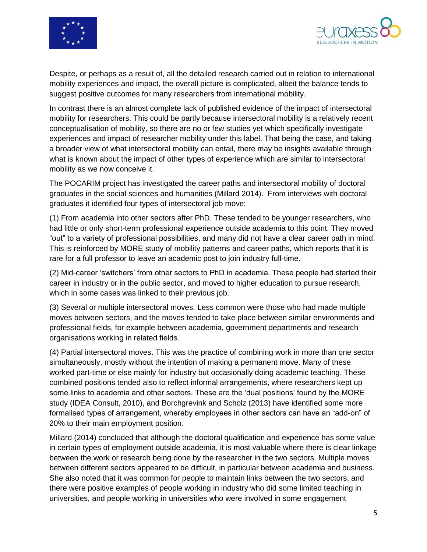



Despite, or perhaps as a result of, all the detailed research carried out in relation to international mobility experiences and impact, the overall picture is complicated, albeit the balance tends to suggest positive outcomes for many researchers from international mobility.

In contrast there is an almost complete lack of published evidence of the impact of intersectoral mobility for researchers. This could be partly because intersectoral mobility is a relatively recent conceptualisation of mobility, so there are no or few studies yet which specifically investigate experiences and impact of researcher mobility under this label. That being the case, and taking a broader view of what intersectoral mobility can entail, there may be insights available through what is known about the impact of other types of experience which are similar to intersectoral mobility as we now conceive it.

The POCARIM project has investigated the career paths and intersectoral mobility of doctoral graduates in the social sciences and humanities (Millard 2014). From interviews with doctoral graduates it identified four types of intersectoral job move:

(1) From academia into other sectors after PhD. These tended to be younger researchers, who had little or only short-term professional experience outside academia to this point. They moved "out" to a variety of professional possibilities, and many did not have a clear career path in mind. This is reinforced by MORE study of mobility patterns and career paths, which reports that it is rare for a full professor to leave an academic post to join industry full-time.

(2) Mid-career 'switchers' from other sectors to PhD in academia. These people had started their career in industry or in the public sector, and moved to higher education to pursue research, which in some cases was linked to their previous job.

(3) Several or multiple intersectoral moves. Less common were those who had made multiple moves between sectors, and the moves tended to take place between similar environments and professional fields, for example between academia, government departments and research organisations working in related fields.

(4) Partial intersectoral moves. This was the practice of combining work in more than one sector simultaneously, mostly without the intention of making a permanent move. Many of these worked part-time or else mainly for industry but occasionally doing academic teaching. These combined positions tended also to reflect informal arrangements, where researchers kept up some links to academia and other sectors. These are the 'dual positions' found by the MORE study (IDEA Consult, 2010), and Borchgrevink and Scholz (2013) have identified some more formalised types of arrangement, whereby employees in other sectors can have an "add-on" of 20% to their main employment position.

Millard (2014) concluded that although the doctoral qualification and experience has some value in certain types of employment outside academia, it is most valuable where there is clear linkage between the work or research being done by the researcher in the two sectors. Multiple moves between different sectors appeared to be difficult, in particular between academia and business. She also noted that it was common for people to maintain links between the two sectors, and there were positive examples of people working in industry who did some limited teaching in universities, and people working in universities who were involved in some engagement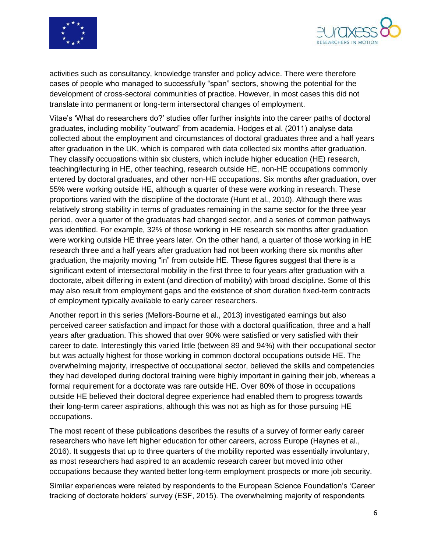



activities such as consultancy, knowledge transfer and policy advice. There were therefore cases of people who managed to successfully "span" sectors, showing the potential for the development of cross-sectoral communities of practice. However, in most cases this did not translate into permanent or long-term intersectoral changes of employment.

Vitae's 'What do researchers do?' studies offer further insights into the career paths of doctoral graduates, including mobility "outward" from academia. Hodges et al. (2011) analyse data collected about the employment and circumstances of doctoral graduates three and a half years after graduation in the UK, which is compared with data collected six months after graduation. They classify occupations within six clusters, which include higher education (HE) research, teaching/lecturing in HE, other teaching, research outside HE, non-HE occupations commonly entered by doctoral graduates, and other non-HE occupations. Six months after graduation, over 55% were working outside HE, although a quarter of these were working in research. These proportions varied with the discipline of the doctorate (Hunt et al., 2010). Although there was relatively strong stability in terms of graduates remaining in the same sector for the three year period, over a quarter of the graduates had changed sector, and a series of common pathways was identified. For example, 32% of those working in HE research six months after graduation were working outside HE three years later. On the other hand, a quarter of those working in HE research three and a half years after graduation had not been working there six months after graduation, the majority moving "in" from outside HE. These figures suggest that there is a significant extent of intersectoral mobility in the first three to four years after graduation with a doctorate, albeit differing in extent (and direction of mobility) with broad discipline. Some of this may also result from employment gaps and the existence of short duration fixed-term contracts of employment typically available to early career researchers.

Another report in this series (Mellors-Bourne et al., 2013) investigated earnings but also perceived career satisfaction and impact for those with a doctoral qualification, three and a half years after graduation. This showed that over 90% were satisfied or very satisfied with their career to date. Interestingly this varied little (between 89 and 94%) with their occupational sector but was actually highest for those working in common doctoral occupations outside HE. The overwhelming majority, irrespective of occupational sector, believed the skills and competencies they had developed during doctoral training were highly important in gaining their job, whereas a formal requirement for a doctorate was rare outside HE. Over 80% of those in occupations outside HE believed their doctoral degree experience had enabled them to progress towards their long-term career aspirations, although this was not as high as for those pursuing HE occupations.

The most recent of these publications describes the results of a survey of former early career researchers who have left higher education for other careers, across Europe (Haynes et al., 2016). It suggests that up to three quarters of the mobility reported was essentially involuntary, as most researchers had aspired to an academic research career but moved into other occupations because they wanted better long-term employment prospects or more job security.

Similar experiences were related by respondents to the European Science Foundation's 'Career tracking of doctorate holders' survey (ESF, 2015). The overwhelming majority of respondents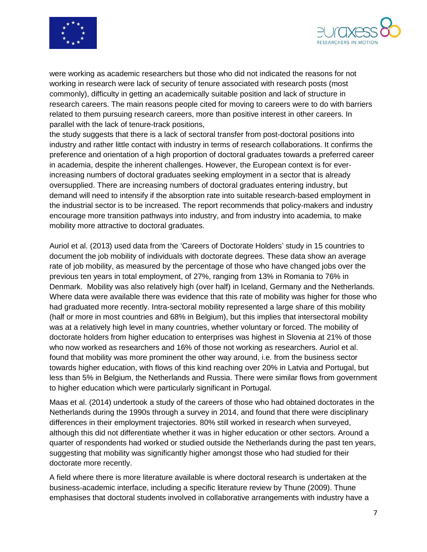



were working as academic researchers but those who did not indicated the reasons for not working in research were lack of security of tenure associated with research posts (most commonly), difficulty in getting an academically suitable position and lack of structure in research careers. The main reasons people cited for moving to careers were to do with barriers related to them pursuing research careers, more than positive interest in other careers. In parallel with the lack of tenure-track positions,

the study suggests that there is a lack of sectoral transfer from post-doctoral positions into industry and rather little contact with industry in terms of research collaborations. It confirms the preference and orientation of a high proportion of doctoral graduates towards a preferred career in academia, despite the inherent challenges. However, the European context is for everincreasing numbers of doctoral graduates seeking employment in a sector that is already oversupplied. There are increasing numbers of doctoral graduates entering industry, but demand will need to intensify if the absorption rate into suitable research-based employment in the industrial sector is to be increased. The report recommends that policy-makers and industry encourage more transition pathways into industry, and from industry into academia, to make mobility more attractive to doctoral graduates.

Auriol et al. (2013) used data from the 'Careers of Doctorate Holders' study in 15 countries to document the job mobility of individuals with doctorate degrees. These data show an average rate of job mobility, as measured by the percentage of those who have changed jobs over the previous ten years in total employment, of 27%, ranging from 13% in Romania to 76% in Denmark. Mobility was also relatively high (over half) in Iceland, Germany and the Netherlands. Where data were available there was evidence that this rate of mobility was higher for those who had graduated more recently. Intra-sectoral mobility represented a large share of this mobility (half or more in most countries and 68% in Belgium), but this implies that intersectoral mobility was at a relatively high level in many countries, whether voluntary or forced. The mobility of doctorate holders from higher education to enterprises was highest in Slovenia at 21% of those who now worked as researchers and 16% of those not working as researchers. Auriol et al. found that mobility was more prominent the other way around, i.e. from the business sector towards higher education, with flows of this kind reaching over 20% in Latvia and Portugal, but less than 5% in Belgium, the Netherlands and Russia. There were similar flows from government to higher education which were particularly significant in Portugal.

Maas et al. (2014) undertook a study of the careers of those who had obtained doctorates in the Netherlands during the 1990s through a survey in 2014, and found that there were disciplinary differences in their employment trajectories. 80% still worked in research when surveyed, although this did not differentiate whether it was in higher education or other sectors. Around a quarter of respondents had worked or studied outside the Netherlands during the past ten years, suggesting that mobility was significantly higher amongst those who had studied for their doctorate more recently.

A field where there is more literature available is where doctoral research is undertaken at the business-academic interface, including a specific literature review by Thune (2009). Thune emphasises that doctoral students involved in collaborative arrangements with industry have a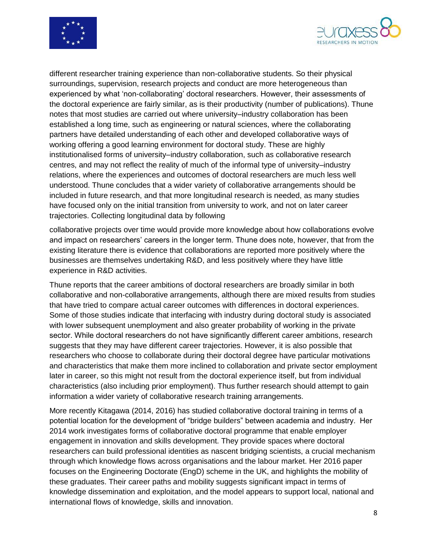



different researcher training experience than non-collaborative students. So their physical surroundings, supervision, research projects and conduct are more heterogeneous than experienced by what 'non-collaborating' doctoral researchers. However, their assessments of the doctoral experience are fairly similar, as is their productivity (number of publications). Thune notes that most studies are carried out where university–industry collaboration has been established a long time, such as engineering or natural sciences, where the collaborating partners have detailed understanding of each other and developed collaborative ways of working offering a good learning environment for doctoral study. These are highly institutionalised forms of university–industry collaboration, such as collaborative research centres, and may not reflect the reality of much of the informal type of university–industry relations, where the experiences and outcomes of doctoral researchers are much less well understood. Thune concludes that a wider variety of collaborative arrangements should be included in future research, and that more longitudinal research is needed, as many studies have focused only on the initial transition from university to work, and not on later career trajectories. Collecting longitudinal data by following

collaborative projects over time would provide more knowledge about how collaborations evolve and impact on researchers' careers in the longer term. Thune does note, however, that from the existing literature there is evidence that collaborations are reported more positively where the businesses are themselves undertaking R&D, and less positively where they have little experience in R&D activities.

Thune reports that the career ambitions of doctoral researchers are broadly similar in both collaborative and non-collaborative arrangements, although there are mixed results from studies that have tried to compare actual career outcomes with differences in doctoral experiences. Some of those studies indicate that interfacing with industry during doctoral study is associated with lower subsequent unemployment and also greater probability of working in the private sector. While doctoral researchers do not have significantly different career ambitions, research suggests that they may have different career trajectories. However, it is also possible that researchers who choose to collaborate during their doctoral degree have particular motivations and characteristics that make them more inclined to collaboration and private sector employment later in career, so this might not result from the doctoral experience itself, but from individual characteristics (also including prior employment). Thus further research should attempt to gain information a wider variety of collaborative research training arrangements.

More recently Kitagawa (2014, 2016) has studied collaborative doctoral training in terms of a potential location for the development of "bridge builders" between academia and industry. Her 2014 work investigates forms of collaborative doctoral programme that enable employer engagement in innovation and skills development. They provide spaces where doctoral researchers can build professional identities as nascent bridging scientists, a crucial mechanism through which knowledge flows across organisations and the labour market. Her 2016 paper focuses on the Engineering Doctorate (EngD) scheme in the UK, and highlights the mobility of these graduates. Their career paths and mobility suggests significant impact in terms of knowledge dissemination and exploitation, and the model appears to support local, national and international flows of knowledge, skills and innovation.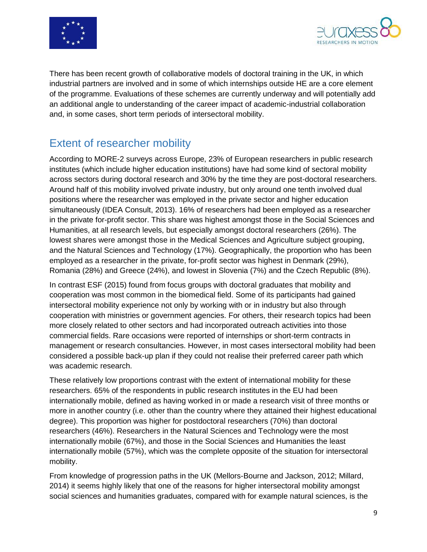



There has been recent growth of collaborative models of doctoral training in the UK, in which industrial partners are involved and in some of which internships outside HE are a core element of the programme. Evaluations of these schemes are currently underway and will potentially add an additional angle to understanding of the career impact of academic-industrial collaboration and, in some cases, short term periods of intersectoral mobility.

## <span id="page-9-0"></span>Extent of researcher mobility

According to MORE-2 surveys across Europe, 23% of European researchers in public research institutes (which include higher education institutions) have had some kind of sectoral mobility across sectors during doctoral research and 30% by the time they are post-doctoral researchers. Around half of this mobility involved private industry, but only around one tenth involved dual positions where the researcher was employed in the private sector and higher education simultaneously (IDEA Consult, 2013). 16% of researchers had been employed as a researcher in the private for-profit sector. This share was highest amongst those in the Social Sciences and Humanities, at all research levels, but especially amongst doctoral researchers (26%). The lowest shares were amongst those in the Medical Sciences and Agriculture subject grouping, and the Natural Sciences and Technology (17%). Geographically, the proportion who has been employed as a researcher in the private, for-profit sector was highest in Denmark (29%), Romania (28%) and Greece (24%), and lowest in Slovenia (7%) and the Czech Republic (8%).

In contrast ESF (2015) found from focus groups with doctoral graduates that mobility and cooperation was most common in the biomedical field. Some of its participants had gained intersectoral mobility experience not only by working with or in industry but also through cooperation with ministries or government agencies. For others, their research topics had been more closely related to other sectors and had incorporated outreach activities into those commercial fields. Rare occasions were reported of internships or short-term contracts in management or research consultancies. However, in most cases intersectoral mobility had been considered a possible back-up plan if they could not realise their preferred career path which was academic research.

These relatively low proportions contrast with the extent of international mobility for these researchers. 65% of the respondents in public research institutes in the EU had been internationally mobile, defined as having worked in or made a research visit of three months or more in another country (i.e. other than the country where they attained their highest educational degree). This proportion was higher for postdoctoral researchers (70%) than doctoral researchers (46%). Researchers in the Natural Sciences and Technology were the most internationally mobile (67%), and those in the Social Sciences and Humanities the least internationally mobile (57%), which was the complete opposite of the situation for intersectoral mobility.

From knowledge of progression paths in the UK (Mellors-Bourne and Jackson, 2012; Millard, 2014) it seems highly likely that one of the reasons for higher intersectoral mobility amongst social sciences and humanities graduates, compared with for example natural sciences, is the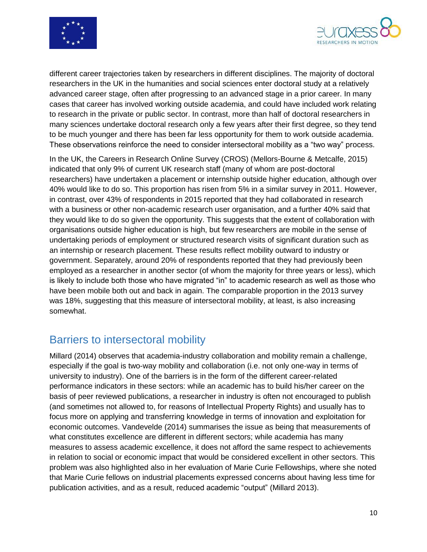



different career trajectories taken by researchers in different disciplines. The majority of doctoral researchers in the UK in the humanities and social sciences enter doctoral study at a relatively advanced career stage, often after progressing to an advanced stage in a prior career. In many cases that career has involved working outside academia, and could have included work relating to research in the private or public sector. In contrast, more than half of doctoral researchers in many sciences undertake doctoral research only a few years after their first degree, so they tend to be much younger and there has been far less opportunity for them to work outside academia. These observations reinforce the need to consider intersectoral mobility as a "two way" process.

In the UK, the Careers in Research Online Survey (CROS) (Mellors-Bourne & Metcalfe, 2015) indicated that only 9% of current UK research staff (many of whom are post-doctoral researchers) have undertaken a placement or internship outside higher education, although over 40% would like to do so. This proportion has risen from 5% in a similar survey in 2011. However, in contrast, over 43% of respondents in 2015 reported that they had collaborated in research with a business or other non-academic research user organisation, and a further 40% said that they would like to do so given the opportunity. This suggests that the extent of collaboration with organisations outside higher education is high, but few researchers are mobile in the sense of undertaking periods of employment or structured research visits of significant duration such as an internship or research placement. These results reflect mobility outward to industry or government. Separately, around 20% of respondents reported that they had previously been employed as a researcher in another sector (of whom the majority for three years or less), which is likely to include both those who have migrated "in" to academic research as well as those who have been mobile both out and back in again. The comparable proportion in the 2013 survey was 18%, suggesting that this measure of intersectoral mobility, at least, is also increasing somewhat.

#### <span id="page-10-0"></span>Barriers to intersectoral mobility

Millard (2014) observes that academia-industry collaboration and mobility remain a challenge, especially if the goal is two-way mobility and collaboration (i.e. not only one-way in terms of university to industry). One of the barriers is in the form of the different career-related performance indicators in these sectors: while an academic has to build his/her career on the basis of peer reviewed publications, a researcher in industry is often not encouraged to publish (and sometimes not allowed to, for reasons of Intellectual Property Rights) and usually has to focus more on applying and transferring knowledge in terms of innovation and exploitation for economic outcomes. Vandevelde (2014) summarises the issue as being that measurements of what constitutes excellence are different in different sectors; while academia has many measures to assess academic excellence, it does not afford the same respect to achievements in relation to social or economic impact that would be considered excellent in other sectors. This problem was also highlighted also in her evaluation of Marie Curie Fellowships, where she noted that Marie Curie fellows on industrial placements expressed concerns about having less time for publication activities, and as a result, reduced academic "output" (Millard 2013).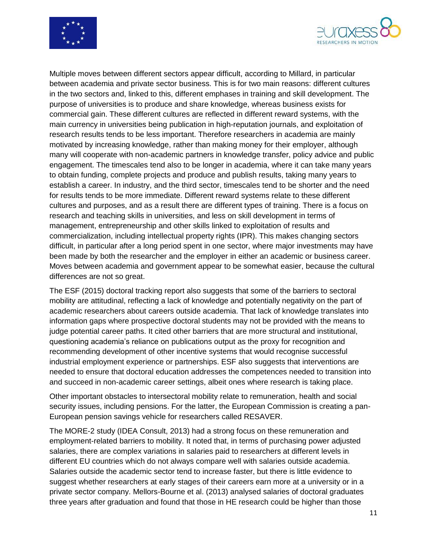



Multiple moves between different sectors appear difficult, according to Millard, in particular between academia and private sector business. This is for two main reasons: different cultures in the two sectors and, linked to this, different emphases in training and skill development. The purpose of universities is to produce and share knowledge, whereas business exists for commercial gain. These different cultures are reflected in different reward systems, with the main currency in universities being publication in high-reputation journals, and exploitation of research results tends to be less important. Therefore researchers in academia are mainly motivated by increasing knowledge, rather than making money for their employer, although many will cooperate with non-academic partners in knowledge transfer, policy advice and public engagement. The timescales tend also to be longer in academia, where it can take many years to obtain funding, complete projects and produce and publish results, taking many years to establish a career. In industry, and the third sector, timescales tend to be shorter and the need for results tends to be more immediate. Different reward systems relate to these different cultures and purposes, and as a result there are different types of training. There is a focus on research and teaching skills in universities, and less on skill development in terms of management, entrepreneurship and other skills linked to exploitation of results and commercialization, including intellectual property rights (IPR). This makes changing sectors difficult, in particular after a long period spent in one sector, where major investments may have been made by both the researcher and the employer in either an academic or business career. Moves between academia and government appear to be somewhat easier, because the cultural differences are not so great.

The ESF (2015) doctoral tracking report also suggests that some of the barriers to sectoral mobility are attitudinal, reflecting a lack of knowledge and potentially negativity on the part of academic researchers about careers outside academia. That lack of knowledge translates into information gaps where prospective doctoral students may not be provided with the means to judge potential career paths. It cited other barriers that are more structural and institutional, questioning academia's reliance on publications output as the proxy for recognition and recommending development of other incentive systems that would recognise successful industrial employment experience or partnerships. ESF also suggests that interventions are needed to ensure that doctoral education addresses the competences needed to transition into and succeed in non-academic career settings, albeit ones where research is taking place.

Other important obstacles to intersectoral mobility relate to remuneration, health and social security issues, including pensions. For the latter, the European Commission is creating a pan-European pension savings vehicle for researchers called RESAVER.

The MORE-2 study (IDEA Consult, 2013) had a strong focus on these remuneration and employment-related barriers to mobility. It noted that, in terms of purchasing power adjusted salaries, there are complex variations in salaries paid to researchers at different levels in different EU countries which do not always compare well with salaries outside academia. Salaries outside the academic sector tend to increase faster, but there is little evidence to suggest whether researchers at early stages of their careers earn more at a university or in a private sector company. Mellors-Bourne et al. (2013) analysed salaries of doctoral graduates three years after graduation and found that those in HE research could be higher than those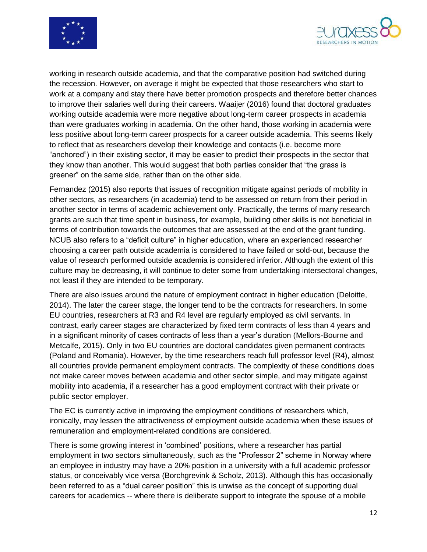



working in research outside academia, and that the comparative position had switched during the recession. However, on average it might be expected that those researchers who start to work at a company and stay there have better promotion prospects and therefore better chances to improve their salaries well during their careers. Waaijer (2016) found that doctoral graduates working outside academia were more negative about long-term career prospects in academia than were graduates working in academia. On the other hand, those working in academia were less positive about long-term career prospects for a career outside academia. This seems likely to reflect that as researchers develop their knowledge and contacts (i.e. become more "anchored") in their existing sector, it may be easier to predict their prospects in the sector that they know than another. This would suggest that both parties consider that "the grass is greener" on the same side, rather than on the other side.

Fernandez (2015) also reports that issues of recognition mitigate against periods of mobility in other sectors, as researchers (in academia) tend to be assessed on return from their period in another sector in terms of academic achievement only. Practically, the terms of many research grants are such that time spent in business, for example, building other skills is not beneficial in terms of contribution towards the outcomes that are assessed at the end of the grant funding. NCUB also refers to a "deficit culture" in higher education, where an experienced researcher choosing a career path outside academia is considered to have failed or sold-out, because the value of research performed outside academia is considered inferior. Although the extent of this culture may be decreasing, it will continue to deter some from undertaking intersectoral changes, not least if they are intended to be temporary.

There are also issues around the nature of employment contract in higher education (Deloitte, 2014). The later the career stage, the longer tend to be the contracts for researchers. In some EU countries, researchers at R3 and R4 level are regularly employed as civil servants. In contrast, early career stages are characterized by fixed term contracts of less than 4 years and in a significant minority of cases contracts of less than a year's duration (Mellors-Bourne and Metcalfe, 2015). Only in two EU countries are doctoral candidates given permanent contracts (Poland and Romania). However, by the time researchers reach full professor level (R4), almost all countries provide permanent employment contracts. The complexity of these conditions does not make career moves between academia and other sector simple, and may mitigate against mobility into academia, if a researcher has a good employment contract with their private or public sector employer.

The EC is currently active in improving the employment conditions of researchers which, ironically, may lessen the attractiveness of employment outside academia when these issues of remuneration and employment-related conditions are considered.

There is some growing interest in 'combined' positions, where a researcher has partial employment in two sectors simultaneously, such as the "Professor 2" scheme in Norway where an employee in industry may have a 20% position in a university with a full academic professor status, or conceivably vice versa (Borchgrevink & Scholz, 2013). Although this has occasionally been referred to as a "dual career position" this is unwise as the concept of supporting dual careers for academics -- where there is deliberate support to integrate the spouse of a mobile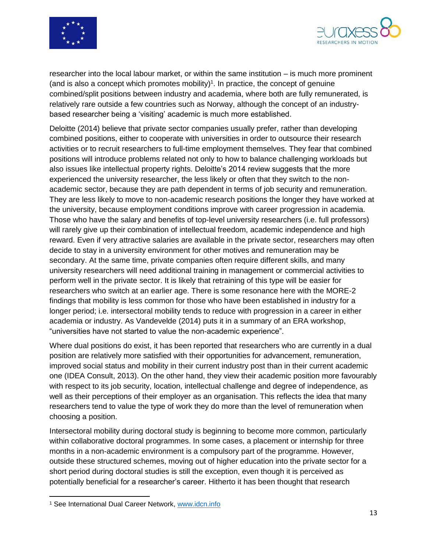



researcher into the local labour market, or within the same institution – is much more prominent (and is also a concept which promotes mobility)<sup>1</sup>. In practice, the concept of genuine combined/split positions between industry and academia, where both are fully remunerated, is relatively rare outside a few countries such as Norway, although the concept of an industrybased researcher being a 'visiting' academic is much more established.

Deloitte (2014) believe that private sector companies usually prefer, rather than developing combined positions, either to cooperate with universities in order to outsource their research activities or to recruit researchers to full-time employment themselves. They fear that combined positions will introduce problems related not only to how to balance challenging workloads but also issues like intellectual property rights. Deloitte's 2014 review suggests that the more experienced the university researcher, the less likely or often that they switch to the nonacademic sector, because they are path dependent in terms of job security and remuneration. They are less likely to move to non-academic research positions the longer they have worked at the university, because employment conditions improve with career progression in academia. Those who have the salary and benefits of top-level university researchers (i.e. full professors) will rarely give up their combination of intellectual freedom, academic independence and high reward. Even if very attractive salaries are available in the private sector, researchers may often decide to stay in a university environment for other motives and remuneration may be secondary. At the same time, private companies often require different skills, and many university researchers will need additional training in management or commercial activities to perform well in the private sector. It is likely that retraining of this type will be easier for researchers who switch at an earlier age. There is some resonance here with the MORE-2 findings that mobility is less common for those who have been established in industry for a longer period; i.e. intersectoral mobility tends to reduce with progression in a career in either academia or industry. As Vandevelde (2014) puts it in a summary of an ERA workshop, "universities have not started to value the non-academic experience".

Where dual positions do exist, it has been reported that researchers who are currently in a dual position are relatively more satisfied with their opportunities for advancement, remuneration, improved social status and mobility in their current industry post than in their current academic one (IDEA Consult, 2013). On the other hand, they view their academic position more favourably with respect to its job security, location, intellectual challenge and degree of independence, as well as their perceptions of their employer as an organisation. This reflects the idea that many researchers tend to value the type of work they do more than the level of remuneration when choosing a position.

Intersectoral mobility during doctoral study is beginning to become more common, particularly within collaborative doctoral programmes. In some cases, a placement or internship for three months in a non-academic environment is a compulsory part of the programme. However, outside these structured schemes, moving out of higher education into the private sector for a short period during doctoral studies is still the exception, even though it is perceived as potentially beneficial for a researcher's career. Hitherto it has been thought that research

 $\overline{\phantom{a}}$ 

<sup>1</sup> See International Dual Career Network, [www.idcn.info](http://www.idcn.info/)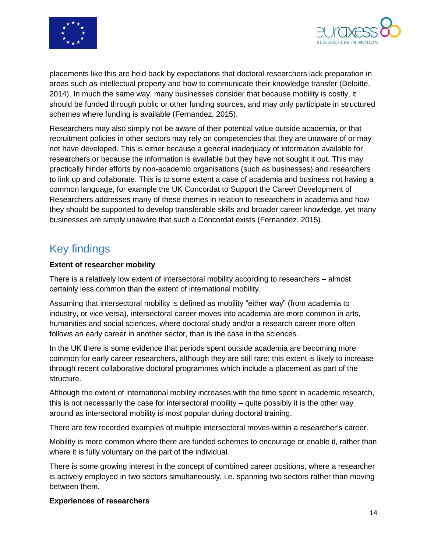



placements like this are held back by expectations that doctoral researchers lack preparation in areas such as intellectual property and how to communicate their knowledge transfer (Deloitte, 2014). In much the same way, many businesses consider that because mobility is costly, it should be funded through public or other funding sources, and may only participate in structured schemes where funding is available (Fernandez, 2015).

Researchers may also simply not be aware of their potential value outside academia, or that recruitment policies in other sectors may rely on competencies that they are unaware of or may not have developed. This is either because a general inadequacy of information available for researchers or because the information is available but they have not sought it out. This may practically hinder efforts by non-academic organisations (such as businesses) and researchers to link up and collaborate. This is to some extent a case of academia and business not having a common language; for example the UK Concordat to Support the Career Development of Researchers addresses many of these themes in relation to researchers in academia and how they should be supported to develop transferable skills and broader career knowledge, yet many businesses are simply unaware that such a Concordat exists (Fernandez, 2015).

#### <span id="page-14-0"></span>Key findings

#### **Extent of researcher mobility**

There is a relatively low extent of intersectoral mobility according to researchers – almost certainly less common than the extent of international mobility.

Assuming that intersectoral mobility is defined as mobility "either way" (from academia to industry, or vice versa), intersectoral career moves into academia are more common in arts, humanities and social sciences, where doctoral study and/or a research career more often follows an early career in another sector, than is the case in the sciences.

In the UK there is some evidence that periods spent outside academia are becoming more common for early career researchers, although they are still rare; this extent is likely to increase through recent collaborative doctoral programmes which include a placement as part of the structure.

Although the extent of international mobility increases with the time spent in academic research, this is not necessarily the case for intersectoral mobility – quite possibly it is the other way around as intersectoral mobility is most popular during doctoral training.

There are few recorded examples of multiple intersectoral moves within a researcher's career.

Mobility is more common where there are funded schemes to encourage or enable it, rather than where it is fully voluntary on the part of the individual.

There is some growing interest in the concept of combined career positions, where a researcher is actively employed in two sectors simultaneously, i.e. spanning two sectors rather than moving between them.

#### **Experiences of researchers**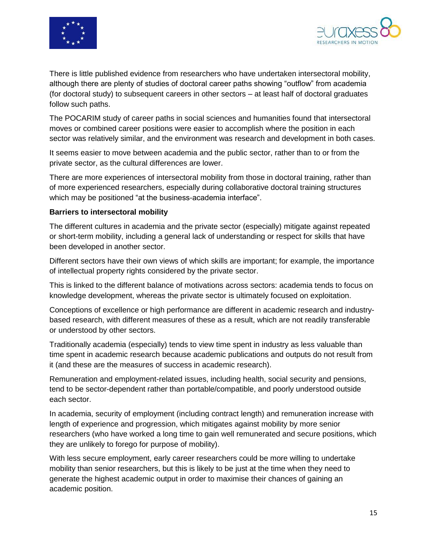



There is little published evidence from researchers who have undertaken intersectoral mobility, although there are plenty of studies of doctoral career paths showing "outflow" from academia (for doctoral study) to subsequent careers in other sectors – at least half of doctoral graduates follow such paths.

The POCARIM study of career paths in social sciences and humanities found that intersectoral moves or combined career positions were easier to accomplish where the position in each sector was relatively similar, and the environment was research and development in both cases.

It seems easier to move between academia and the public sector, rather than to or from the private sector, as the cultural differences are lower.

There are more experiences of intersectoral mobility from those in doctoral training, rather than of more experienced researchers, especially during collaborative doctoral training structures which may be positioned "at the business-academia interface".

#### **Barriers to intersectoral mobility**

The different cultures in academia and the private sector (especially) mitigate against repeated or short-term mobility, including a general lack of understanding or respect for skills that have been developed in another sector.

Different sectors have their own views of which skills are important; for example, the importance of intellectual property rights considered by the private sector.

This is linked to the different balance of motivations across sectors: academia tends to focus on knowledge development, whereas the private sector is ultimately focused on exploitation.

Conceptions of excellence or high performance are different in academic research and industrybased research, with different measures of these as a result, which are not readily transferable or understood by other sectors.

Traditionally academia (especially) tends to view time spent in industry as less valuable than time spent in academic research because academic publications and outputs do not result from it (and these are the measures of success in academic research).

Remuneration and employment-related issues, including health, social security and pensions, tend to be sector-dependent rather than portable/compatible, and poorly understood outside each sector.

In academia, security of employment (including contract length) and remuneration increase with length of experience and progression, which mitigates against mobility by more senior researchers (who have worked a long time to gain well remunerated and secure positions, which they are unlikely to forego for purpose of mobility).

With less secure employment, early career researchers could be more willing to undertake mobility than senior researchers, but this is likely to be just at the time when they need to generate the highest academic output in order to maximise their chances of gaining an academic position.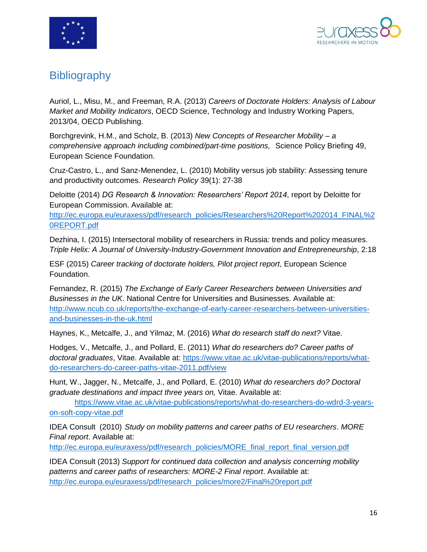



#### <span id="page-16-0"></span>**Bibliography**

Auriol, L., Misu, M., and Freeman, R.A. (2013) *Careers of Doctorate Holders: Analysis of Labour Market and Mobility Indicators*, OECD Science, Technology and Industry Working Papers, 2013/04, OECD Publishing.

Borchgrevink, H.M., and Scholz, B. (2013) *New Concepts of Researcher Mobility – a comprehensive approach including combined/part-time positions,* Science Policy Briefing 49, European Science Foundation.

Cruz-Castro, L., and Sanz-Menendez, L. (2010) Mobility versus job stability: Assessing tenure and productivity outcomes. *Research Policy* 39(1): 27-38

Deloitte (2014) *DG Research & Innovation: Researchers' Report 2014*, report by Deloitte for European Commission. Available at:

[http://ec.europa.eu/euraxess/pdf/research\\_policies/Researchers%20Report%202014\\_FINAL%2](http://ec.europa.eu/euraxess/pdf/research_policies/Researchers%20Report%202014_FINAL%20REPORT.pdf) [0REPORT.pdf](http://ec.europa.eu/euraxess/pdf/research_policies/Researchers%20Report%202014_FINAL%20REPORT.pdf)

Dezhina, I. (2015) Intersectoral mobility of researchers in Russia: trends and policy measures. *Triple Helix: A Journal of University-Industry-Government Innovation and Entrepreneurship*, 2:18

ESF (2015) *Career tracking of doctorate holders, Pilot project report*, European Science Foundation.

Fernandez, R. (2015) *The Exchange of Early Career Researchers between Universities and Businesses in the UK*. National Centre for Universities and Businesses. Available at: [http://www.ncub.co.uk/reports/the-exchange-of-early-career-researchers-between-universities](http://www.ncub.co.uk/reports/the-exchange-of-early-career-researchers-between-universities-and-businesses-in-the-uk.html)[and-businesses-in-the-uk.html](http://www.ncub.co.uk/reports/the-exchange-of-early-career-researchers-between-universities-and-businesses-in-the-uk.html)

Haynes, K., Metcalfe, J., and Yilmaz, M. (2016) *What do research staff do next?* Vitae.

Hodges, V., Metcalfe, J., and Pollard, E. (2011) *What do researchers do? Career paths of doctoral graduates*, Vitae. Available at: [https://www.vitae.ac.uk/vitae-publications/reports/what](https://www.vitae.ac.uk/vitae-publications/reports/what-do-researchers-do-career-paths-vitae-2011.pdf/view)[do-researchers-do-career-paths-vitae-2011.pdf/view](https://www.vitae.ac.uk/vitae-publications/reports/what-do-researchers-do-career-paths-vitae-2011.pdf/view)

Hunt, W., Jagger, N., Metcalfe, J., and Pollard, E. (2010) *What do researchers do? Doctoral graduate destinations and impact three years on,* Vitae. Available at:

[https://www.vitae.ac.uk/vitae-publications/reports/what-do-researchers-do-wdrd-3-years](https://www.vitae.ac.uk/vitae-publications/reports/what-do-researchers-do-wdrd-3-years-on-soft-copy-vitae.pdf)[on-soft-copy-vitae.pdf](https://www.vitae.ac.uk/vitae-publications/reports/what-do-researchers-do-wdrd-3-years-on-soft-copy-vitae.pdf)

IDEA Consult (2010) *Study on mobility patterns and career paths of EU researchers*. *MORE Final report*. Available at:

[http://ec.europa.eu/euraxess/pdf/research\\_policies/MORE\\_final\\_report\\_final\\_version.pdf](http://ec.europa.eu/euraxess/pdf/research_policies/MORE_final_report_final_version.pdf)

IDEA Consult (2013) *Support for continued data collection and analysis concerning mobility patterns and career paths of researchers: MORE-2 Final report*. Available at: [http://ec.europa.eu/euraxess/pdf/research\\_policies/more2/Final%20report.pdf](http://ec.europa.eu/euraxess/pdf/research_policies/more2/Final%20report.pdf)